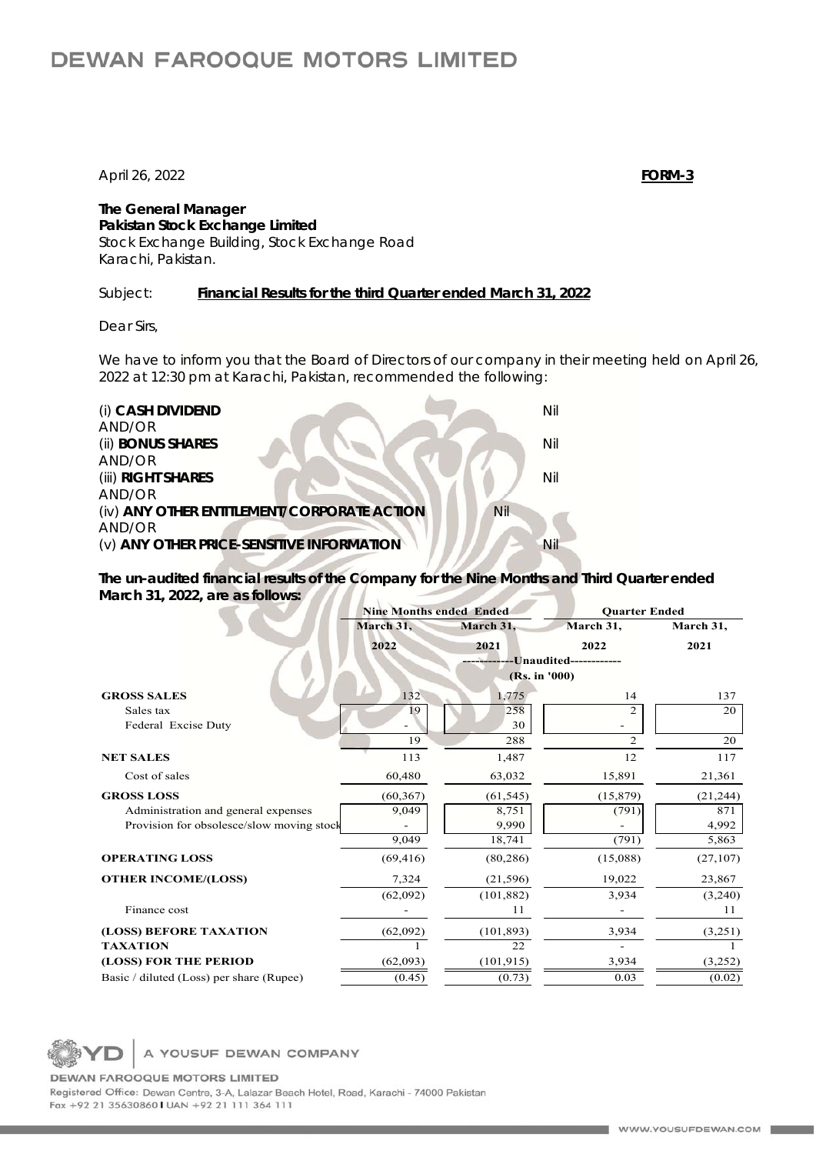## **DEWAN FAROOQUE MOTORS LIMITED**

April 26, 2022 **FORM-3**

**The General Manager Pakistan Stock Exchange Limited**  Stock Exchange Building, Stock Exchange Road Karachi, Pakistan.

Subject: *Financial Results for the third Quarter ended March 31, 2022*

*Dear Sirs,* 

We have to inform you that the Board of Directors of our company in their meeting held on April 26, 2022 at 12:30 pm at Karachi, Pakistan, recommended the following:

(i) **CASH DIVIDEND** Nil AND/OR **(ii) BONUS SHARES** Nil AND/OR (iii) **RIGHT SHARES** Nil AND/OR (iv) **ANY OTHER ENTITLEMENT/CORPORATE ACTION** Nil AND/OR (v) **ANY OTHER PRICE-SENSITIVE INFORMATION** 

**The un-audited financial results of the Company for the Nine Months and Third Quarter ended March 31, 2022, are as follows:** 

|                                           | <b>Nine Months ended Ended</b> |            | <b>Ouarter Ended</b> |           |
|-------------------------------------------|--------------------------------|------------|----------------------|-----------|
|                                           | March 31,                      | March 31,  | March 31,            | March 31, |
|                                           | 2022                           | 2021       | 2022                 | 2021      |
|                                           | -----Unaudited------------     |            |                      |           |
|                                           | (Rs. in '000)                  |            |                      |           |
| <b>GROSS SALES</b>                        | 132                            | 1,775      | 14                   | 137       |
| Sales tax                                 | 19                             | 258        |                      | 20        |
| Federal Excise Duty                       |                                | 30         |                      |           |
|                                           | 19                             | 288        | 2                    | 20        |
| <b>NET SALES</b>                          | 113                            | 1,487      | 12                   | 117       |
| Cost of sales                             | 60,480                         | 63,032     | 15,891               | 21,361    |
| <b>GROSS LOSS</b>                         | (60, 367)                      | (61, 545)  | (15, 879)            | (21, 244) |
| Administration and general expenses       | 9,049                          | 8,751      | (791)                | 871       |
| Provision for obsolesce/slow moving stock |                                | 9,990      |                      | 4,992     |
|                                           | 9,049                          | 18,741     | (791)                | 5,863     |
| <b>OPERATING LOSS</b>                     | (69, 416)                      | (80, 286)  | (15,088)             | (27,107)  |
| <b>OTHER INCOME/(LOSS)</b>                | 7,324                          | (21, 596)  | 19,022               | 23,867    |
|                                           | (62,092)                       | (101, 882) | 3,934                | (3,240)   |
| Finance cost                              |                                | 11         |                      | 11        |
| (LOSS) BEFORE TAXATION                    | (62,092)                       | (101, 893) | 3,934                | (3,251)   |
| <b>TAXATION</b>                           |                                | 22         |                      |           |
| (LOSS) FOR THE PERIOD                     | (62,093)                       | (101, 915) | 3,934                | (3,252)   |
| Basic / diluted (Loss) per share (Rupee)  | (0.45)                         | (0.73)     | 0.03                 | (0.02)    |

A YOUSUF DEWAN COMPANY

**DEWAN FAROOQUE MOTORS LIMITED** Registered Office: Dewan Centre, 3-A, Lalazar Beach Hotel, Road, Karachi - 74000 Pakistan Fax +92 21 35630860 | UAN +92 21 111 364 111